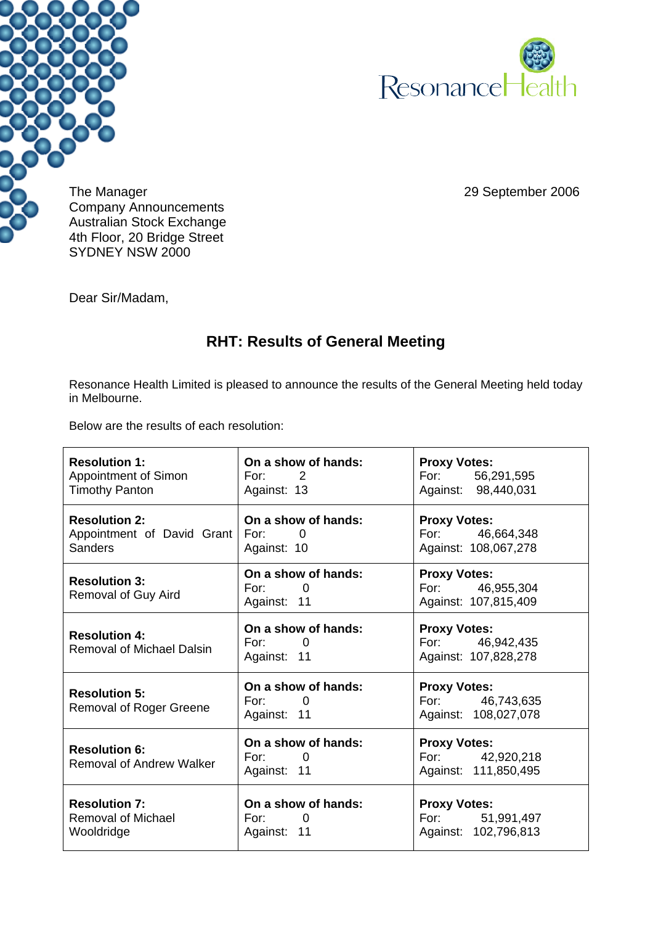



The Manager 2006 29 September 2006 Company Announcements Australian Stock Exchange 4th Floor, 20 Bridge Street SYDNEY NSW 2000

Dear Sir/Madam,

## **RHT: Results of General Meeting**

Resonance Health Limited is pleased to announce the results of the General Meeting held today in Melbourne.

Below are the results of each resolution:

| <b>Resolution 1:</b><br><b>Appointment of Simon</b><br><b>Timothy Panton</b> | On a show of hands:<br>For: $2$<br>Against: 13                  | <b>Proxy Votes:</b><br>For: 56,291,595<br>Against: 98,440,031  |
|------------------------------------------------------------------------------|-----------------------------------------------------------------|----------------------------------------------------------------|
| <b>Resolution 2:</b><br>Appointment of David Grant<br><b>Sanders</b>         | On a show of hands:<br>For:<br>$\overline{0}$<br>Against: 10    | <b>Proxy Votes:</b><br>For: 46,664,348<br>Against: 108,067,278 |
| <b>Resolution 3:</b><br><b>Removal of Guy Aird</b>                           | On a show of hands:<br>For:<br>$\Omega$<br>Against: 11          | <b>Proxy Votes:</b><br>For: 46,955,304<br>Against: 107,815,409 |
| <b>Resolution 4:</b><br><b>Removal of Michael Dalsin</b>                     | On a show of hands:<br>For:<br>$\overline{0}$<br>Against: 11    | <b>Proxy Votes:</b><br>For: 46,942,435<br>Against: 107,828,278 |
| <b>Resolution 5:</b><br>Removal of Roger Greene                              | On a show of hands:<br>For:<br>$\Omega$<br>Against: 11          | <b>Proxy Votes:</b><br>For: 46,743,635<br>Against: 108,027,078 |
| <b>Resolution 6:</b><br><b>Removal of Andrew Walker</b>                      | On a show of hands:<br>For:<br>$\overline{0}$<br>Against: 11    | <b>Proxy Votes:</b><br>For: 42,920,218<br>Against: 111,850,495 |
| <b>Resolution 7:</b><br><b>Removal of Michael</b><br>Wooldridge              | On a show of hands:<br>For: The Form<br>$\Omega$<br>Against: 11 | <b>Proxy Votes:</b><br>For: 51,991,497<br>Against: 102,796,813 |